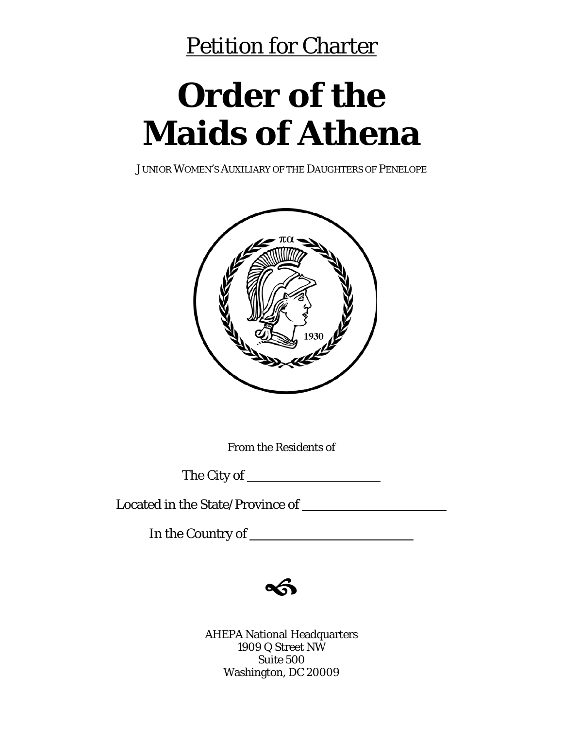## Petition for Charter

# **Order of the Maids of Athena**

JUNIOR WOMEN'S AUXILIARY OF THE DAUGHTERS OF PENELOPE



From the Residents of

The City of

Located in the State/Province of

In the Country of



AHEPA National Headquarters 1909 Q Street NW Suite 500 Washington, DC 20009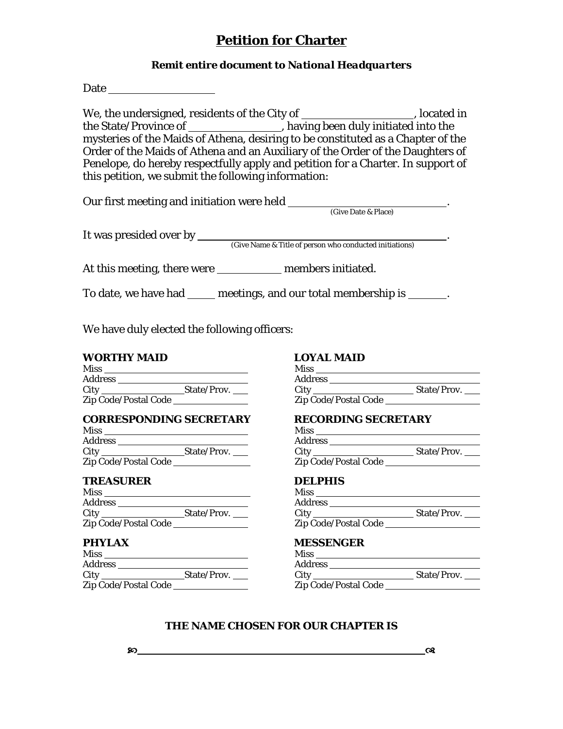### **Petition for Charter**

### *Remit entire document to National Headquarters*

Date Party and Party and Party and Party and Party and Party and Party and Party and Party and Party and Party and Party and Party and Party and Party and Party and Party and Party and Party and Party and Party and Party a

We, the undersigned, residents of the City of \_\_\_\_\_\_\_\_\_\_\_\_\_\_\_\_\_\_\_, located in the State/Province of \_\_\_\_\_\_\_\_\_\_\_\_\_\_\_\_, having been duly initiated into the mysteries of the Maids of Athena, desiring to be constituted as a Chapter of the Order of the Maids of Athena and an Auxiliary of the Order of the Daughters of Penelope, do hereby respectfully apply and petition for a Charter. In support of this petition, we submit the following information:

| Our first meeting and initiation were held |                     |  |
|--------------------------------------------|---------------------|--|
|                                            | (Give Date & Place) |  |
| It was presided over by                    |                     |  |

It was presided over by . (Give Name & Title of person who conducted initiations)

At this meeting, there were members initiated.

To date, we have had meetings, and our total membership is .

We have duly elected the following officers:

### **WORTHY MAID LOYAL MAID**

| <b>Miss</b>          |             | <b>Miss</b>          |
|----------------------|-------------|----------------------|
| <b>Address</b>       |             | <b>Address</b>       |
| City                 | State/Prov. | City                 |
| Zip Code/Postal Code |             | Zip Code/Postal Code |

### **CORRESPONDING SECRETARY RECORDING SECRETARY**

| <b>Miss</b>          |             | <b>Miss</b>    |
|----------------------|-------------|----------------|
| <b>Address</b>       |             | <b>Address</b> |
| <b>City</b> City     | State/Prov. |                |
| Zip Code/Postal Code |             | Zip Code.      |

### **TREASURER DELPHIS**

| <b>Miss</b>          |             | Miss                 |
|----------------------|-------------|----------------------|
| <b>Address</b>       |             | <b>Address</b>       |
| City                 | State/Prov. | City                 |
| Zip Code/Postal Code |             | Zip Code/Postal Code |

| Miss                 |             | Miss                 |
|----------------------|-------------|----------------------|
| Address              |             | <b>Address</b>       |
| City                 | State/Prov. | City                 |
| Zip Code/Postal Code |             | Zip Code/Postal Code |

| Miss                 | <b>Miss</b>          |             |
|----------------------|----------------------|-------------|
| Address              | <b>Address</b>       |             |
| City<br>State/Prov.  | City                 | State/Prov. |
| Zip Code/Postal Code | Zip Code/Postal Code |             |

| Miss                 |             | Miss                 |             |
|----------------------|-------------|----------------------|-------------|
| Address              |             | <b>Address</b>       |             |
| City                 | State/Prov. | City                 | State/Prov. |
| Zip Code/Postal Code |             | Zip Code/Postal Code |             |
|                      |             |                      |             |

| Miss                 |             | <b>Miss</b>          |             |
|----------------------|-------------|----------------------|-------------|
| Address              |             | <b>Address</b>       |             |
| Citv                 | State/Prov. | City                 | State/Prov. |
| Zip Code/Postal Code |             | Zip Code/Postal Code |             |

### **PHYLAX MESSENGER**

| Miss                 |             | <b>Miss</b>          |             |
|----------------------|-------------|----------------------|-------------|
| Address              |             | <b>Address</b>       |             |
| City                 | State/Prov. | City                 | State/Prov. |
| Zip Code/Postal Code |             | Zip Code/Postal Code |             |

### **THE NAME CHOSEN FOR OUR CHAPTER IS**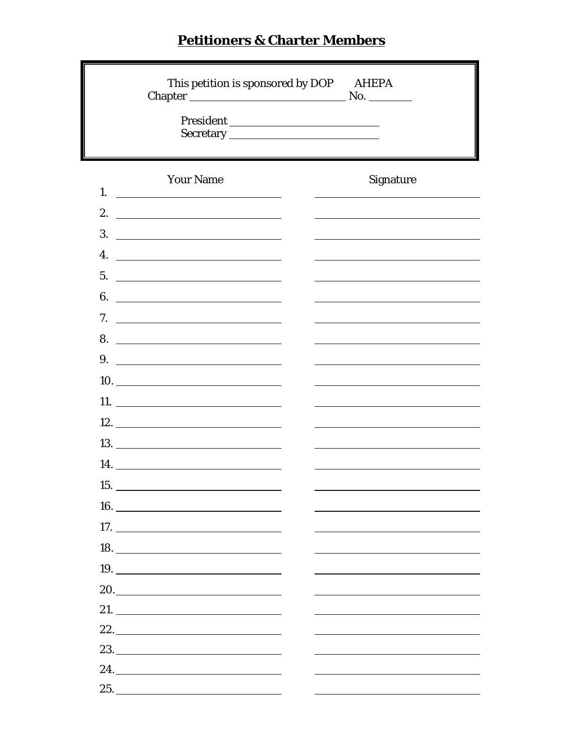### **Petitioners & Charter Members**

|    |                                                                                                                                                                                                                                      | This petition is sponsored by DOP AHEPA |
|----|--------------------------------------------------------------------------------------------------------------------------------------------------------------------------------------------------------------------------------------|-----------------------------------------|
| 1. | <b>Your Name</b>                                                                                                                                                                                                                     | Signature                               |
| 2. | <u> 1989 - Johann Stoff, deutscher Stoffen und der Stoffen und der Stoffen und der Stoffen und der Stoffen und der Stoffen und der Stoffen und der Stoffen und der Stoffen und der Stoffen und der Stoffen und der Stoffen und d</u> |                                         |
| 3. | <u> 1989 - Andrea Station Barbara, amerikan per</u>                                                                                                                                                                                  |                                         |
| 4. | <u> 1980 - Andrea Britain, politik eta politik eta politik eta politik eta politik eta politik eta politik eta p</u>                                                                                                                 |                                         |
|    | 5.                                                                                                                                                                                                                                   |                                         |
|    |                                                                                                                                                                                                                                      |                                         |
|    | 7. $\qquad \qquad$                                                                                                                                                                                                                   |                                         |
|    |                                                                                                                                                                                                                                      |                                         |
| 9. |                                                                                                                                                                                                                                      |                                         |
|    |                                                                                                                                                                                                                                      |                                         |
|    |                                                                                                                                                                                                                                      |                                         |
|    | 12.                                                                                                                                                                                                                                  |                                         |
|    |                                                                                                                                                                                                                                      |                                         |
|    | <b>14.</b> The contract of the contract of the contract of the contract of the contract of the contract of the contract of the contract of the contract of the contract of the contract of the contract of the contract of the cont  |                                         |
|    | <b>15.</b> The contract of the contract of the contract of the contract of the contract of the contract of the contract of the contract of the contract of the contract of the contract of the contract of the contract of the cont  |                                         |
|    |                                                                                                                                                                                                                                      |                                         |
|    |                                                                                                                                                                                                                                      |                                         |
|    |                                                                                                                                                                                                                                      |                                         |
|    | 19.                                                                                                                                                                                                                                  |                                         |
|    |                                                                                                                                                                                                                                      |                                         |
|    | 21. $\qquad \qquad$                                                                                                                                                                                                                  |                                         |
|    | 22.                                                                                                                                                                                                                                  |                                         |
|    |                                                                                                                                                                                                                                      |                                         |
|    | 24.                                                                                                                                                                                                                                  |                                         |
|    |                                                                                                                                                                                                                                      |                                         |